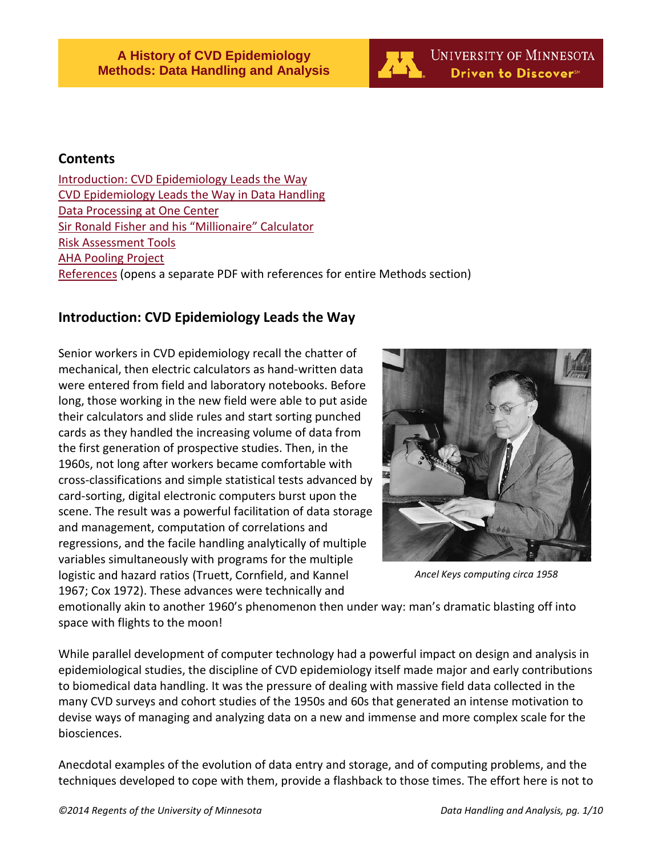

### **Contents**

[Introduction: CVD Epidemiology Leads the Way](#page-0-0) [CVD Epidemiology Leads the Way in Data Handling](#page-1-0) [Data Processing at One Center](#page-1-0) [Sir Ronald Fisher and his "Millionaire" Calculator](#page-4-0) [Risk Assessment Tools](#page-5-0) [AHA Pooling Project](#page-5-1) [References](http://www.epi.umn.edu/cvdepinew/wp-content/uploads/2014/02/Methods-references.pdf) (opens a separate PDF with references for entire Methods section)

# <span id="page-0-0"></span>**Introduction: CVD Epidemiology Leads the Way**

Senior workers in CVD epidemiology recall the chatter of mechanical, then electric calculators as hand-written data were entered from field and laboratory notebooks. Before long, those working in the new field were able to put aside their calculators and slide rules and start sorting punched cards as they handled the increasing volume of data from the first generation of prospective studies. Then, in the 1960s, not long after workers became comfortable with cross-classifications and simple statistical tests advanced by card-sorting, digital electronic computers burst upon the scene. The result was a powerful facilitation of data storage and management, computation of correlations and regressions, and the facile handling analytically of multiple variables simultaneously with programs for the multiple logistic and hazard ratios (Truett, Cornfield, and Kannel 1967; Cox 1972). These advances were technically and



*Ancel Keys computing circa 1958*

emotionally akin to another 1960's phenomenon then under way: man's dramatic blasting off into space with flights to the moon!

While parallel development of computer technology had a powerful impact on design and analysis in epidemiological studies, the discipline of CVD epidemiology itself made major and early contributions to biomedical data handling. It was the pressure of dealing with massive field data collected in the many CVD surveys and cohort studies of the 1950s and 60s that generated an intense motivation to devise ways of managing and analyzing data on a new and immense and more complex scale for the biosciences.

Anecdotal examples of the evolution of data entry and storage, and of computing problems, and the techniques developed to cope with them, provide a flashback to those times. The effort here is not to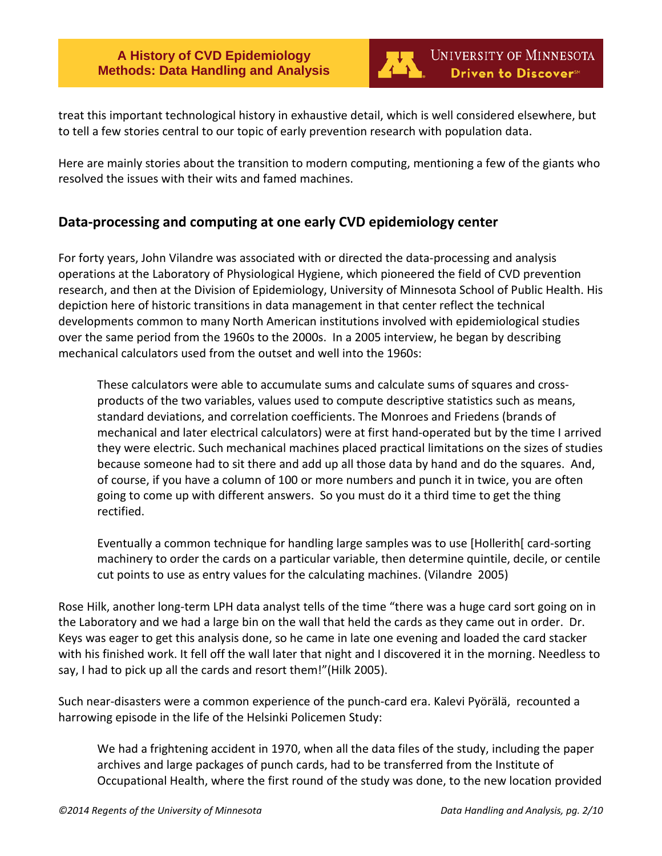

treat this important technological history in exhaustive detail, which is well considered elsewhere, but to tell a few stories central to our topic of early prevention research with population data.

Here are mainly stories about the transition to modern computing, mentioning a few of the giants who resolved the issues with their wits and famed machines.

# <span id="page-1-0"></span>**Data-processing and computing at one early CVD epidemiology center**

For forty years, John Vilandre was associated with or directed the data-processing and analysis operations at the Laboratory of Physiological Hygiene, which pioneered the field of CVD prevention research, and then at the Division of Epidemiology, University of Minnesota School of Public Health. His depiction here of historic transitions in data management in that center reflect the technical developments common to many North American institutions involved with epidemiological studies over the same period from the 1960s to the 2000s. In a 2005 interview, he began by describing mechanical calculators used from the outset and well into the 1960s:

These calculators were able to accumulate sums and calculate sums of squares and crossproducts of the two variables, values used to compute descriptive statistics such as means, standard deviations, and correlation coefficients. The Monroes and Friedens (brands of mechanical and later electrical calculators) were at first hand-operated but by the time I arrived they were electric. Such mechanical machines placed practical limitations on the sizes of studies because someone had to sit there and add up all those data by hand and do the squares. And, of course, if you have a column of 100 or more numbers and punch it in twice, you are often going to come up with different answers. So you must do it a third time to get the thing rectified.

Eventually a common technique for handling large samples was to use [Hollerith[ card-sorting machinery to order the cards on a particular variable, then determine quintile, decile, or centile cut points to use as entry values for the calculating machines. (Vilandre 2005)

Rose Hilk, another long-term LPH data analyst tells of the time "there was a huge card sort going on in the Laboratory and we had a large bin on the wall that held the cards as they came out in order. Dr. Keys was eager to get this analysis done, so he came in late one evening and loaded the card stacker with his finished work. It fell off the wall later that night and I discovered it in the morning. Needless to say, I had to pick up all the cards and resort them!"(Hilk 2005).

Such near-disasters were a common experience of the punch-card era. Kalevi Pyörälä, recounted a harrowing episode in the life of the Helsinki Policemen Study:

We had a frightening accident in 1970, when all the data files of the study, including the paper archives and large packages of punch cards, had to be transferred from the Institute of Occupational Health, where the first round of the study was done, to the new location provided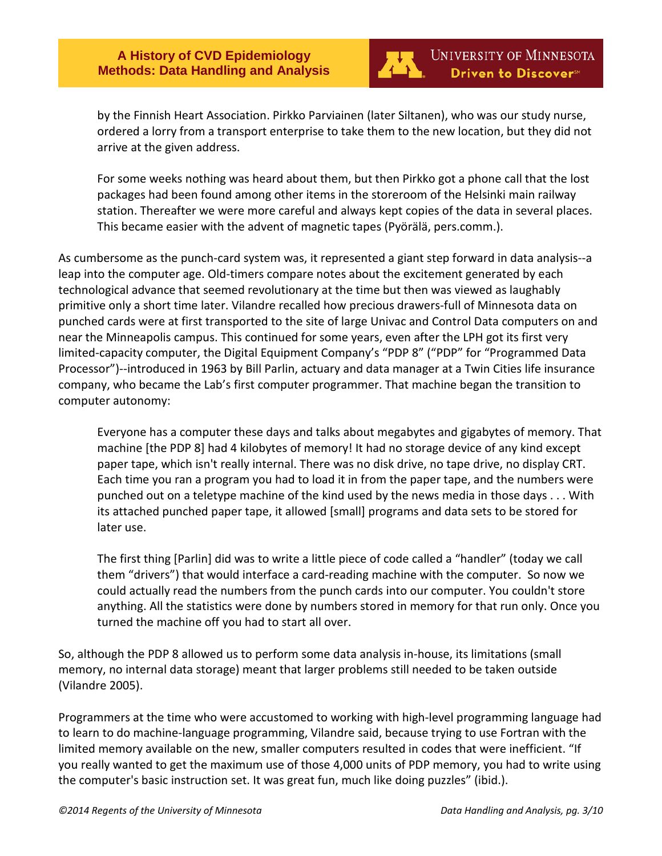

by the Finnish Heart Association. Pirkko Parviainen (later Siltanen), who was our study nurse, ordered a lorry from a transport enterprise to take them to the new location, but they did not arrive at the given address.

For some weeks nothing was heard about them, but then Pirkko got a phone call that the lost packages had been found among other items in the storeroom of the Helsinki main railway station. Thereafter we were more careful and always kept copies of the data in several places. This became easier with the advent of magnetic tapes (Pyörälä, pers.comm.).

As cumbersome as the punch-card system was, it represented a giant step forward in data analysis--a leap into the computer age. Old-timers compare notes about the excitement generated by each technological advance that seemed revolutionary at the time but then was viewed as laughably primitive only a short time later. Vilandre recalled how precious drawers-full of Minnesota data on punched cards were at first transported to the site of large Univac and Control Data computers on and near the Minneapolis campus. This continued for some years, even after the LPH got its first very limited-capacity computer, the Digital Equipment Company's "PDP 8" ("PDP" for "Programmed Data Processor")--introduced in 1963 by Bill Parlin, actuary and data manager at a Twin Cities life insurance company, who became the Lab's first computer programmer. That machine began the transition to computer autonomy:

Everyone has a computer these days and talks about megabytes and gigabytes of memory. That machine [the PDP 8] had 4 kilobytes of memory! It had no storage device of any kind except paper tape, which isn't really internal. There was no disk drive, no tape drive, no display CRT. Each time you ran a program you had to load it in from the paper tape, and the numbers were punched out on a teletype machine of the kind used by the news media in those days . . . With its attached punched paper tape, it allowed [small] programs and data sets to be stored for later use.

The first thing [Parlin] did was to write a little piece of code called a "handler" (today we call them "drivers") that would interface a card-reading machine with the computer. So now we could actually read the numbers from the punch cards into our computer. You couldn't store anything. All the statistics were done by numbers stored in memory for that run only. Once you turned the machine off you had to start all over.

So, although the PDP 8 allowed us to perform some data analysis in-house, its limitations (small memory, no internal data storage) meant that larger problems still needed to be taken outside (Vilandre 2005).

Programmers at the time who were accustomed to working with high-level programming language had to learn to do machine-language programming, Vilandre said, because trying to use Fortran with the limited memory available on the new, smaller computers resulted in codes that were inefficient. "If you really wanted to get the maximum use of those 4,000 units of PDP memory, you had to write using the computer's basic instruction set. It was great fun, much like doing puzzles" (ibid.).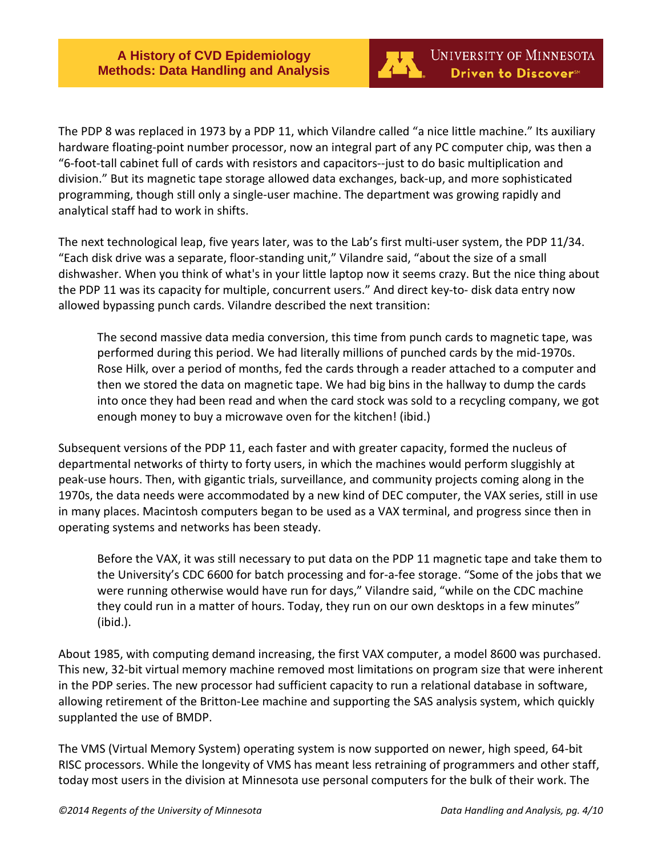

The PDP 8 was replaced in 1973 by a PDP 11, which Vilandre called "a nice little machine." Its auxiliary hardware floating-point number processor, now an integral part of any PC computer chip, was then a "6-foot-tall cabinet full of cards with resistors and capacitors--just to do basic multiplication and division." But its magnetic tape storage allowed data exchanges, back-up, and more sophisticated programming, though still only a single-user machine. The department was growing rapidly and analytical staff had to work in shifts.

The next technological leap, five years later, was to the Lab's first multi-user system, the PDP 11/34. "Each disk drive was a separate, floor-standing unit," Vilandre said, "about the size of a small dishwasher. When you think of what's in your little laptop now it seems crazy. But the nice thing about the PDP 11 was its capacity for multiple, concurrent users." And direct key-to- disk data entry now allowed bypassing punch cards. Vilandre described the next transition:

The second massive data media conversion, this time from punch cards to magnetic tape, was performed during this period. We had literally millions of punched cards by the mid-1970s. Rose Hilk, over a period of months, fed the cards through a reader attached to a computer and then we stored the data on magnetic tape. We had big bins in the hallway to dump the cards into once they had been read and when the card stock was sold to a recycling company, we got enough money to buy a microwave oven for the kitchen! (ibid.)

Subsequent versions of the PDP 11, each faster and with greater capacity, formed the nucleus of departmental networks of thirty to forty users, in which the machines would perform sluggishly at peak-use hours. Then, with gigantic trials, surveillance, and community projects coming along in the 1970s, the data needs were accommodated by a new kind of DEC computer, the VAX series, still in use in many places. Macintosh computers began to be used as a VAX terminal, and progress since then in operating systems and networks has been steady.

Before the VAX, it was still necessary to put data on the PDP 11 magnetic tape and take them to the University's CDC 6600 for batch processing and for-a-fee storage. "Some of the jobs that we were running otherwise would have run for days," Vilandre said, "while on the CDC machine they could run in a matter of hours. Today, they run on our own desktops in a few minutes" (ibid.).

About 1985, with computing demand increasing, the first VAX computer, a model 8600 was purchased. This new, 32-bit virtual memory machine removed most limitations on program size that were inherent in the PDP series. The new processor had sufficient capacity to run a relational database in software, allowing retirement of the Britton-Lee machine and supporting the SAS analysis system, which quickly supplanted the use of BMDP.

The VMS (Virtual Memory System) operating system is now supported on newer, high speed, 64-bit RISC processors. While the longevity of VMS has meant less retraining of programmers and other staff, today most users in the division at Minnesota use personal computers for the bulk of their work. The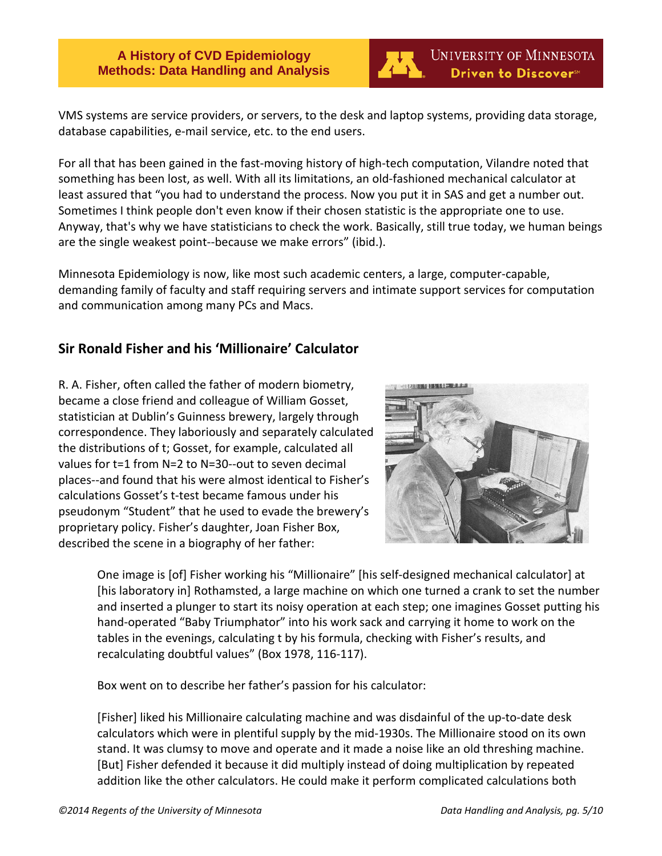

VMS systems are service providers, or servers, to the desk and laptop systems, providing data storage, database capabilities, e-mail service, etc. to the end users.

For all that has been gained in the fast-moving history of high-tech computation, Vilandre noted that something has been lost, as well. With all its limitations, an old-fashioned mechanical calculator at least assured that "you had to understand the process. Now you put it in SAS and get a number out. Sometimes I think people don't even know if their chosen statistic is the appropriate one to use. Anyway, that's why we have statisticians to check the work. Basically, still true today, we human beings are the single weakest point--because we make errors" (ibid.).

Minnesota Epidemiology is now, like most such academic centers, a large, computer-capable, demanding family of faculty and staff requiring servers and intimate support services for computation and communication among many PCs and Macs.

### <span id="page-4-0"></span>**Sir Ronald Fisher and his 'Millionaire' Calculator**

R. A. Fisher, often called the father of modern biometry, became a close friend and colleague of William Gosset, statistician at Dublin's Guinness brewery, largely through correspondence. They laboriously and separately calculated the distributions of t; Gosset, for example, calculated all values for t=1 from N=2 to N=30--out to seven decimal places--and found that his were almost identical to Fisher's calculations Gosset's t-test became famous under his pseudonym "Student" that he used to evade the brewery's proprietary policy. Fisher's daughter, Joan Fisher Box, described the scene in a biography of her father:



One image is [of] Fisher working his "Millionaire" [his self-designed mechanical calculator] at [his laboratory in] Rothamsted, a large machine on which one turned a crank to set the number and inserted a plunger to start its noisy operation at each step; one imagines Gosset putting his hand-operated "Baby Triumphator" into his work sack and carrying it home to work on the tables in the evenings, calculating t by his formula, checking with Fisher's results, and recalculating doubtful values" (Box 1978, 116-117).

Box went on to describe her father's passion for his calculator:

[Fisher] liked his Millionaire calculating machine and was disdainful of the up-to-date desk calculators which were in plentiful supply by the mid-1930s. The Millionaire stood on its own stand. It was clumsy to move and operate and it made a noise like an old threshing machine. [But] Fisher defended it because it did multiply instead of doing multiplication by repeated addition like the other calculators. He could make it perform complicated calculations both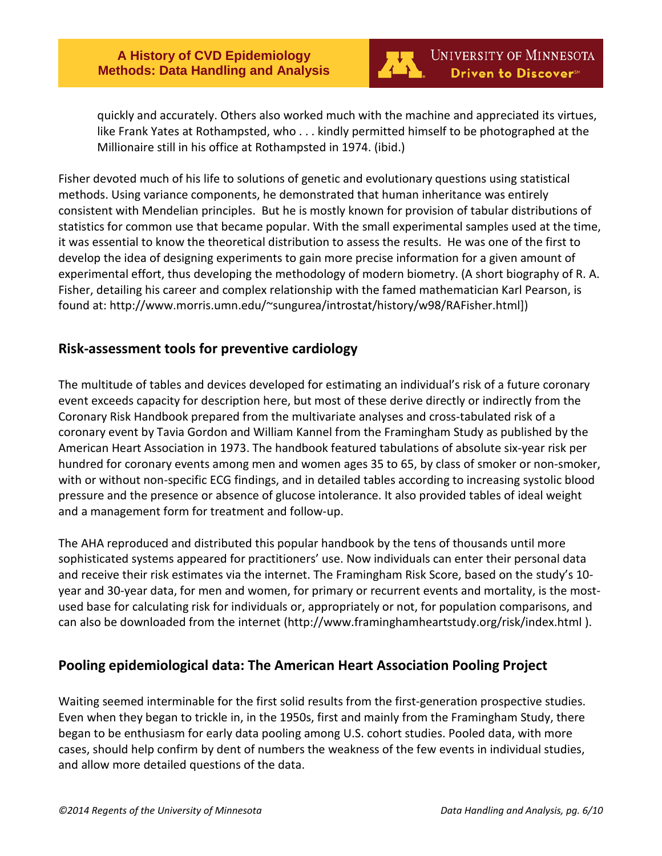

quickly and accurately. Others also worked much with the machine and appreciated its virtues, like Frank Yates at Rothampsted, who . . . kindly permitted himself to be photographed at the Millionaire still in his office at Rothampsted in 1974. (ibid.)

Fisher devoted much of his life to solutions of genetic and evolutionary questions using statistical methods. Using variance components, he demonstrated that human inheritance was entirely consistent with Mendelian principles. But he is mostly known for provision of tabular distributions of statistics for common use that became popular. With the small experimental samples used at the time, it was essential to know the theoretical distribution to assess the results. He was one of the first to develop the idea of designing experiments to gain more precise information for a given amount of experimental effort, thus developing the methodology of modern biometry. (A short biography of R. A. Fisher, detailing his career and complex relationship with the famed mathematician Karl Pearson, is found at: http://www.morris.umn.edu/~sungurea/introstat/history/w98/RAFisher.html])

# <span id="page-5-0"></span>**Risk-assessment tools for preventive cardiology**

The multitude of tables and devices developed for estimating an individual's risk of a future coronary event exceeds capacity for description here, but most of these derive directly or indirectly from the Coronary Risk Handbook prepared from the multivariate analyses and cross-tabulated risk of a coronary event by Tavia Gordon and William Kannel from the Framingham Study as published by the American Heart Association in 1973. The handbook featured tabulations of absolute six-year risk per hundred for coronary events among men and women ages 35 to 65, by class of smoker or non-smoker, with or without non-specific ECG findings, and in detailed tables according to increasing systolic blood pressure and the presence or absence of glucose intolerance. It also provided tables of ideal weight and a management form for treatment and follow-up.

The AHA reproduced and distributed this popular handbook by the tens of thousands until more sophisticated systems appeared for practitioners' use. Now individuals can enter their personal data and receive their risk estimates via the internet. The Framingham Risk Score, based on the study's 10 year and 30-year data, for men and women, for primary or recurrent events and mortality, is the mostused base for calculating risk for individuals or, appropriately or not, for population comparisons, and can also be downloaded from the internet (http://www.framinghamheartstudy.org/risk/index.html ).

# <span id="page-5-1"></span>**Pooling epidemiological data: The American Heart Association Pooling Project**

Waiting seemed interminable for the first solid results from the first-generation prospective studies. Even when they began to trickle in, in the 1950s, first and mainly from the Framingham Study, there began to be enthusiasm for early data pooling among U.S. cohort studies. Pooled data, with more cases, should help confirm by dent of numbers the weakness of the few events in individual studies, and allow more detailed questions of the data.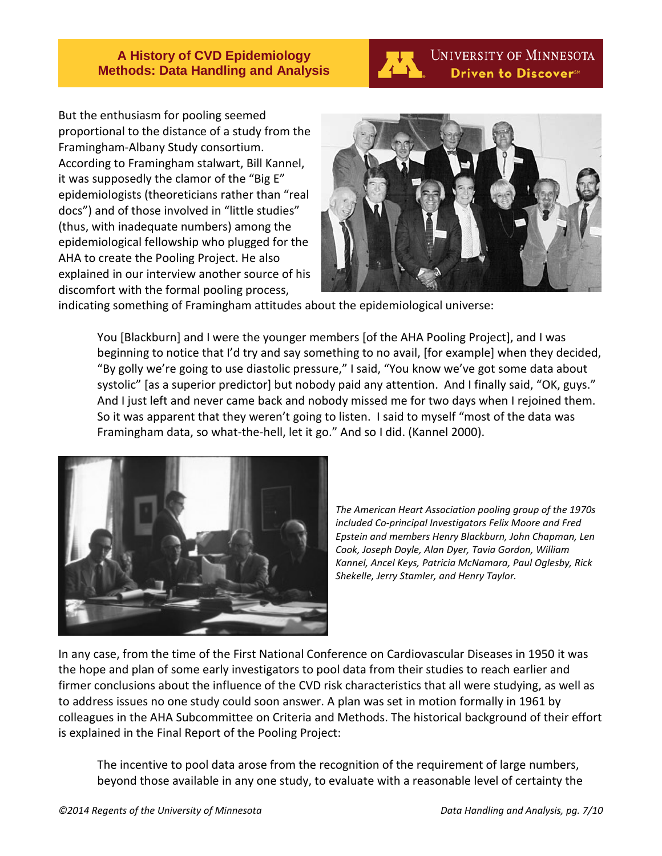

**UNIVERSITY OF MINNESOTA** Driven to Discover<sup>sM</sup>

But the enthusiasm for pooling seemed proportional to the distance of a study from the Framingham-Albany Study consortium. According to Framingham stalwart, Bill Kannel, it was supposedly the clamor of the "Big E" epidemiologists (theoreticians rather than "real docs") and of those involved in "little studies" (thus, with inadequate numbers) among the epidemiological fellowship who plugged for the AHA to create the Pooling Project. He also explained in our interview another source of his discomfort with the formal pooling process,



indicating something of Framingham attitudes about the epidemiological universe:

You [Blackburn] and I were the younger members [of the AHA Pooling Project], and I was beginning to notice that I'd try and say something to no avail, [for example] when they decided, "By golly we're going to use diastolic pressure," I said, "You know we've got some data about systolic" [as a superior predictor] but nobody paid any attention. And I finally said, "OK, guys." And I just left and never came back and nobody missed me for two days when I rejoined them. So it was apparent that they weren't going to listen. I said to myself "most of the data was Framingham data, so what-the-hell, let it go." And so I did. (Kannel 2000).



*The American Heart Association pooling group of the 1970s included Co-principal Investigators Felix Moore and Fred Epstein and members Henry Blackburn, John Chapman, Len Cook, Joseph Doyle, Alan Dyer, Tavia Gordon, William Kannel, Ancel Keys, Patricia McNamara, Paul Oglesby, Rick Shekelle, Jerry Stamler, and Henry Taylor.*

In any case, from the time of the First National Conference on Cardiovascular Diseases in 1950 it was the hope and plan of some early investigators to pool data from their studies to reach earlier and firmer conclusions about the influence of the CVD risk characteristics that all were studying, as well as to address issues no one study could soon answer. A plan was set in motion formally in 1961 by colleagues in the AHA Subcommittee on Criteria and Methods. The historical background of their effort is explained in the Final Report of the Pooling Project:

The incentive to pool data arose from the recognition of the requirement of large numbers, beyond those available in any one study, to evaluate with a reasonable level of certainty the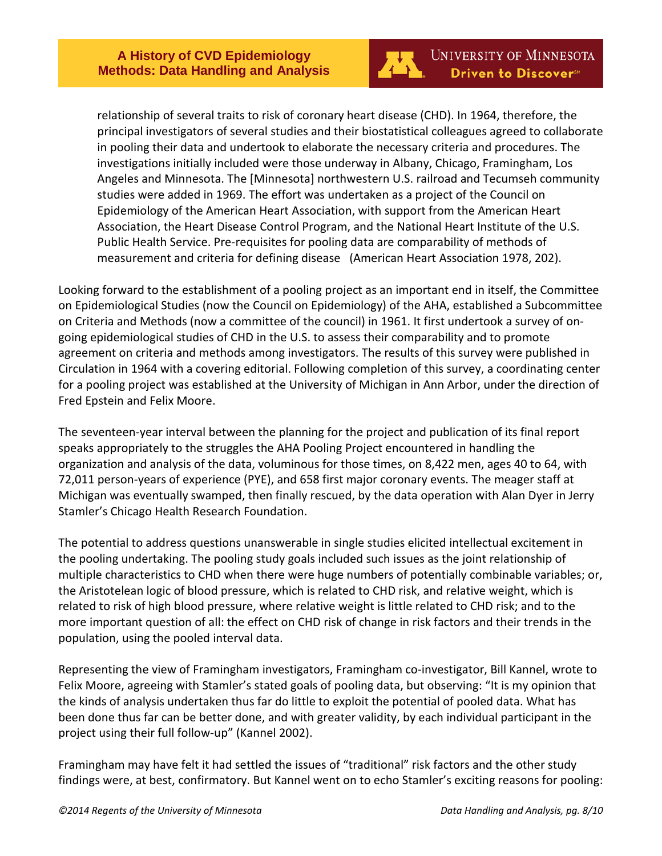

relationship of several traits to risk of coronary heart disease (CHD). In 1964, therefore, the principal investigators of several studies and their biostatistical colleagues agreed to collaborate in pooling their data and undertook to elaborate the necessary criteria and procedures. The investigations initially included were those underway in Albany, Chicago, Framingham, Los Angeles and Minnesota. The [Minnesota] northwestern U.S. railroad and Tecumseh community studies were added in 1969. The effort was undertaken as a project of the Council on Epidemiology of the American Heart Association, with support from the American Heart Association, the Heart Disease Control Program, and the National Heart Institute of the U.S. Public Health Service. Pre-requisites for pooling data are comparability of methods of measurement and criteria for defining disease (American Heart Association 1978, 202).

Looking forward to the establishment of a pooling project as an important end in itself, the Committee on Epidemiological Studies (now the Council on Epidemiology) of the AHA, established a Subcommittee on Criteria and Methods (now a committee of the council) in 1961. It first undertook a survey of ongoing epidemiological studies of CHD in the U.S. to assess their comparability and to promote agreement on criteria and methods among investigators. The results of this survey were published in Circulation in 1964 with a covering editorial. Following completion of this survey, a coordinating center for a pooling project was established at the University of Michigan in Ann Arbor, under the direction of Fred Epstein and Felix Moore.

The seventeen-year interval between the planning for the project and publication of its final report speaks appropriately to the struggles the AHA Pooling Project encountered in handling the organization and analysis of the data, voluminous for those times, on 8,422 men, ages 40 to 64, with 72,011 person-years of experience (PYE), and 658 first major coronary events. The meager staff at Michigan was eventually swamped, then finally rescued, by the data operation with Alan Dyer in Jerry Stamler's Chicago Health Research Foundation.

The potential to address questions unanswerable in single studies elicited intellectual excitement in the pooling undertaking. The pooling study goals included such issues as the joint relationship of multiple characteristics to CHD when there were huge numbers of potentially combinable variables; or, the Aristotelean logic of blood pressure, which is related to CHD risk, and relative weight, which is related to risk of high blood pressure, where relative weight is little related to CHD risk; and to the more important question of all: the effect on CHD risk of change in risk factors and their trends in the population, using the pooled interval data.

Representing the view of Framingham investigators, Framingham co-investigator, Bill Kannel, wrote to Felix Moore, agreeing with Stamler's stated goals of pooling data, but observing: "It is my opinion that the kinds of analysis undertaken thus far do little to exploit the potential of pooled data. What has been done thus far can be better done, and with greater validity, by each individual participant in the project using their full follow-up" (Kannel 2002).

Framingham may have felt it had settled the issues of "traditional" risk factors and the other study findings were, at best, confirmatory. But Kannel went on to echo Stamler's exciting reasons for pooling: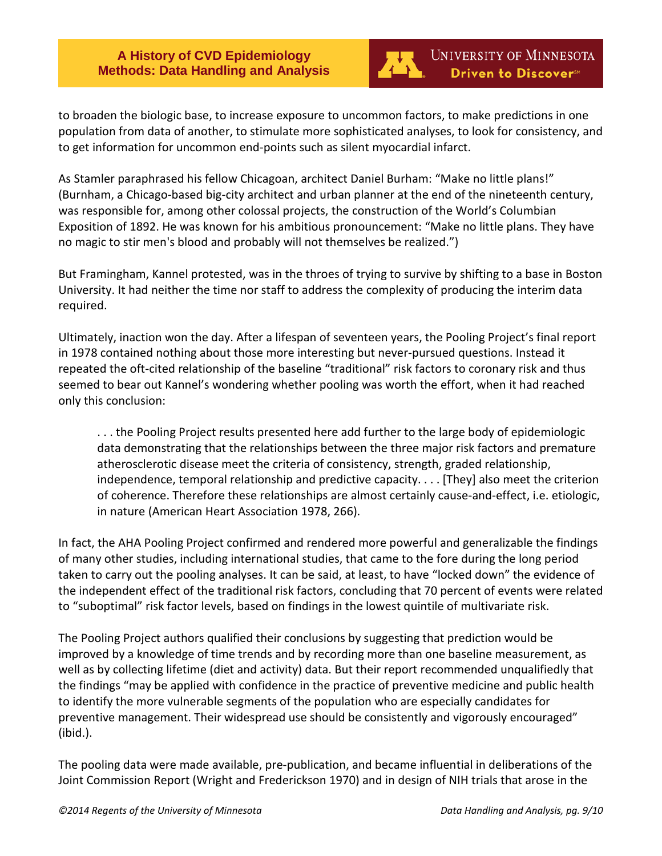

to broaden the biologic base, to increase exposure to uncommon factors, to make predictions in one population from data of another, to stimulate more sophisticated analyses, to look for consistency, and to get information for uncommon end-points such as silent myocardial infarct.

As Stamler paraphrased his fellow Chicagoan, architect Daniel Burham: "Make no little plans!" (Burnham, a Chicago-based big-city architect and urban planner at the end of the nineteenth century, was responsible for, among other colossal projects, the construction of the World's Columbian Exposition of 1892. He was known for his ambitious pronouncement: "Make no little plans. They have no magic to stir men's blood and probably will not themselves be realized.")

But Framingham, Kannel protested, was in the throes of trying to survive by shifting to a base in Boston University. It had neither the time nor staff to address the complexity of producing the interim data required.

Ultimately, inaction won the day. After a lifespan of seventeen years, the Pooling Project's final report in 1978 contained nothing about those more interesting but never-pursued questions. Instead it repeated the oft-cited relationship of the baseline "traditional" risk factors to coronary risk and thus seemed to bear out Kannel's wondering whether pooling was worth the effort, when it had reached only this conclusion:

. . . the Pooling Project results presented here add further to the large body of epidemiologic data demonstrating that the relationships between the three major risk factors and premature atherosclerotic disease meet the criteria of consistency, strength, graded relationship, independence, temporal relationship and predictive capacity. . . . [They] also meet the criterion of coherence. Therefore these relationships are almost certainly cause-and-effect, i.e. etiologic, in nature (American Heart Association 1978, 266).

In fact, the AHA Pooling Project confirmed and rendered more powerful and generalizable the findings of many other studies, including international studies, that came to the fore during the long period taken to carry out the pooling analyses. It can be said, at least, to have "locked down" the evidence of the independent effect of the traditional risk factors, concluding that 70 percent of events were related to "suboptimal" risk factor levels, based on findings in the lowest quintile of multivariate risk.

The Pooling Project authors qualified their conclusions by suggesting that prediction would be improved by a knowledge of time trends and by recording more than one baseline measurement, as well as by collecting lifetime (diet and activity) data. But their report recommended unqualifiedly that the findings "may be applied with confidence in the practice of preventive medicine and public health to identify the more vulnerable segments of the population who are especially candidates for preventive management. Their widespread use should be consistently and vigorously encouraged" (ibid.).

The pooling data were made available, pre-publication, and became influential in deliberations of the Joint Commission Report (Wright and Frederickson 1970) and in design of NIH trials that arose in the